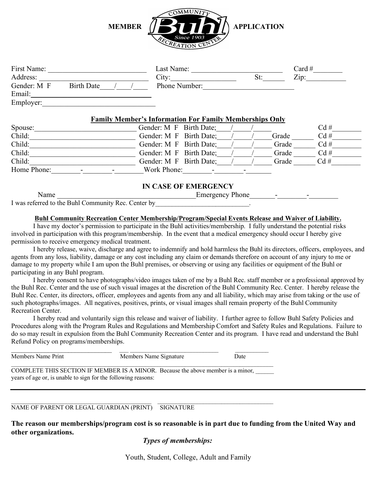

| First Name: |                   |  | Last Name:    |  | Card $#$        |
|-------------|-------------------|--|---------------|--|-----------------|
| Address:    |                   |  | Citv:         |  | $\mathrm{Zip:}$ |
| Gender: M F | <b>Birth Date</b> |  | Phone Number: |  |                 |
| Email:      |                   |  |               |  |                 |
| Employer:   |                   |  |               |  |                 |

### **Family Member's Information For Family Memberships Only**

| Spouse:     | Gender: M F Birth Date; |       | Cd# |
|-------------|-------------------------|-------|-----|
| Child:      | Gender: M F Birth Date; | Grade | Cd# |
| Child:      | Gender: M F Birth Date; | Grade | Cd# |
| Child:      | Gender: M F Birth Date; | Grade | Cd# |
| Child:      | Gender: M F Birth Date: | Grade | Cd# |
| Home Phone: | Work Phone:             |       |     |

# **IN CASE OF EMERGENCY**

Name Emergency Phone

I was referred to the Buhl Community Rec. Center by

## **Buhl Community Recreation Center Membership/Program/Special Events Release and Waiver of Liability.**

I have my doctor's permission to participate in the Buhl activities/membership. I fully understand the potential risks involved in participation with this program/membership. In the event that a medical emergency should occur I hereby give permission to receive emergency medical treatment.

I hereby release, waive, discharge and agree to indemnify and hold harmless the Buhl its directors, officers, employees, and agents from any loss, liability, damage or any cost including any claim or demands therefore on account of any injury to me or damage to my property while I am upon the Buhl premises, or observing or using any facilities or equipment of the Buhl or participating in any Buhl program.

I hereby consent to have photographs/video images taken of me by a Buhl Rec. staff member or a professional approved by the Buhl Rec. Center and the use of such visual images at the discretion of the Buhl Community Rec. Center. I hereby release the Buhl Rec. Center, its directors, officer, employees and agents from any and all liability, which may arise from taking or the use of such photographs/images. All negatives, positives, prints, or visual images shall remain property of the Buhl Community Recreation Center.

I hereby read and voluntarily sign this release and waiver of liability. I further agree to follow Buhl Safety Policies and Procedures along with the Program Rules and Regulations and Membership Comfort and Safety Rules and Regulations. Failure to do so may result in expulsion from the Buhl Community Recreation Center and its program. I have read and understand the Buhl Refund Policy on programs/memberships.

| Members Name Print                                            | Members Name Signature                                                           | Date |
|---------------------------------------------------------------|----------------------------------------------------------------------------------|------|
| years of age or, is unable to sign for the following reasons: | COMPLETE THIS SECTION IF MEMBER IS A MINOR. Because the above member is a minor, |      |

 $\mathcal{L}_\mathcal{L} = \{ \mathcal{L}_\mathcal{L} = \{ \mathcal{L}_\mathcal{L} = \{ \mathcal{L}_\mathcal{L} = \{ \mathcal{L}_\mathcal{L} = \{ \mathcal{L}_\mathcal{L} = \{ \mathcal{L}_\mathcal{L} = \{ \mathcal{L}_\mathcal{L} = \{ \mathcal{L}_\mathcal{L} = \{ \mathcal{L}_\mathcal{L} = \{ \mathcal{L}_\mathcal{L} = \{ \mathcal{L}_\mathcal{L} = \{ \mathcal{L}_\mathcal{L} = \{ \mathcal{L}_\mathcal{L} = \{ \mathcal{L}_\mathcal{$ 

## NAME OF PARENT OR LEGAL GUARDIAN (PRINT) SIGNATURE

**The reason our memberships/program cost is so reasonable is in part due to funding from the United Way and other organizations.**

### *Types of memberships:*